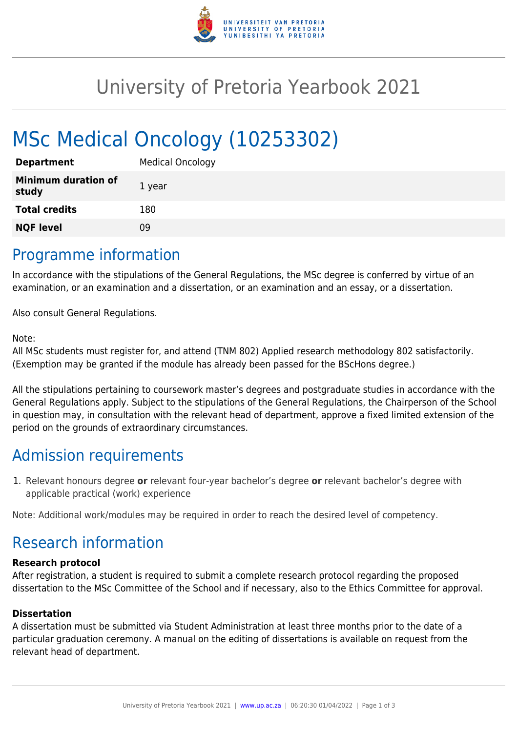

## University of Pretoria Yearbook 2021

# MSc Medical Oncology (10253302)

| <b>Department</b>                   | <b>Medical Oncology</b> |
|-------------------------------------|-------------------------|
| <b>Minimum duration of</b><br>study | 1 year                  |
| <b>Total credits</b>                | 180                     |
| <b>NQF level</b>                    | 09                      |

### Programme information

In accordance with the stipulations of the General Regulations, the MSc degree is conferred by virtue of an examination, or an examination and a dissertation, or an examination and an essay, or a dissertation.

Also consult General Regulations.

#### Note:

All MSc students must register for, and attend (TNM 802) Applied research methodology 802 satisfactorily. (Exemption may be granted if the module has already been passed for the BScHons degree.)

All the stipulations pertaining to coursework master's degrees and postgraduate studies in accordance with the General Regulations apply. Subject to the stipulations of the General Regulations, the Chairperson of the School in question may, in consultation with the relevant head of department, approve a fixed limited extension of the period on the grounds of extraordinary circumstances.

## Admission requirements

1. Relevant honours degree **or** relevant four-year bachelor's degree **or** relevant bachelor's degree with applicable practical (work) experience

Note: Additional work/modules may be required in order to reach the desired level of competency.

## Research information

#### **Research protocol**

After registration, a student is required to submit a complete research protocol regarding the proposed dissertation to the MSc Committee of the School and if necessary, also to the Ethics Committee for approval.

#### **Dissertation**

A dissertation must be submitted via Student Administration at least three months prior to the date of a particular graduation ceremony. A manual on the editing of dissertations is available on request from the relevant head of department.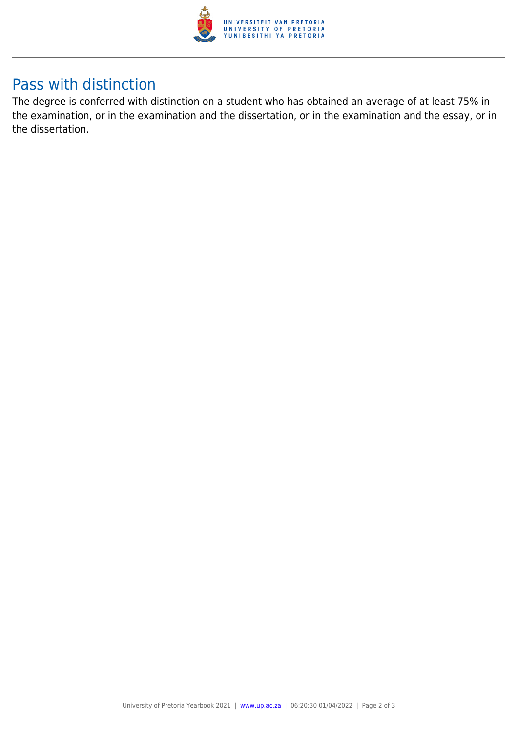

## Pass with distinction

The degree is conferred with distinction on a student who has obtained an average of at least 75% in the examination, or in the examination and the dissertation, or in the examination and the essay, or in the dissertation.